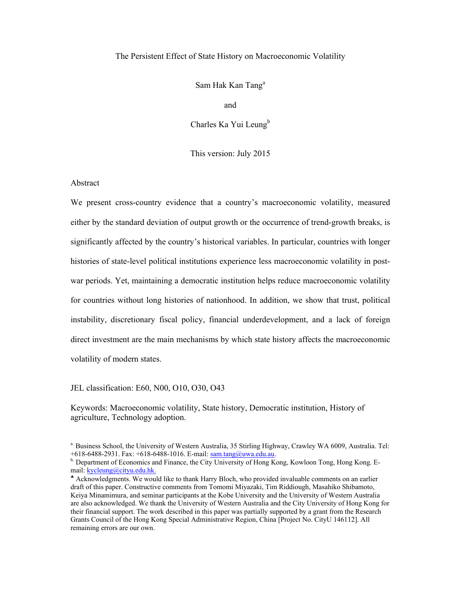### The Persistent Effect of State History on Macroeconomic Volatility

Sam Hak Kan Tang<sup>a</sup>

and

Charles Ka Yui Leung<sup>b</sup>

This version: July 2015

### Abstract

We present cross-country evidence that a country's macroeconomic volatility, measured either by the standard deviation of output growth or the occurrence of trend-growth breaks, is significantly affected by the country's historical variables. In particular, countries with longer histories of state-level political institutions experience less macroeconomic volatility in postwar periods. Yet, maintaining a democratic institution helps reduce macroeconomic volatility for countries without long histories of nationhood. In addition, we show that trust, political instability, discretionary fiscal policy, financial underdevelopment, and a lack of foreign direct investment are the main mechanisms by which state history affects the macroeconomic volatility of modern states.

JEL classification: E60, N00, O10, O30, O43

Keywords: Macroeconomic volatility, State history, Democratic institution, History of agriculture, Technology adoption.

a. Business School, the University of Western Australia, 35 Stirling Highway, Crawley WA 6009, Australia. Tel:

<sup>+618-6488-2931.</sup> Fax: +618-6488-1016. E-mail: sam.tang@uwa.edu.au.<br><sup>b.</sup> Department of Economics and Finance, the City University of Hong Kong, Kowloon Tong, Hong Kong. Email: kycleung@cityu.edu.hk.

Acknowledgments. We would like to thank Harry Bloch, who provided invaluable comments on an earlier draft of this paper. Constructive comments from Tomomi Miyazaki, Tim Riddiough, Masahiko Shibamoto, Keiya Minamimura, and seminar participants at the Kobe University and the University of Western Australia are also acknowledged. We thank the University of Western Australia and the City University of Hong Kong for their financial support. The work described in this paper was partially supported by a grant from the Research Grants Council of the Hong Kong Special Administrative Region, China [Project No. CityU 146112]. All remaining errors are our own.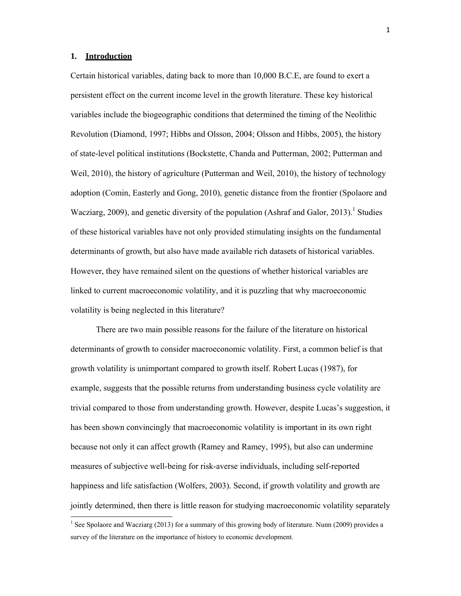### **1. Introduction**

Certain historical variables, dating back to more than 10,000 B.C.E, are found to exert a persistent effect on the current income level in the growth literature. These key historical variables include the biogeographic conditions that determined the timing of the Neolithic Revolution (Diamond, 1997; Hibbs and Olsson, 2004; Olsson and Hibbs, 2005), the history of state-level political institutions (Bockstette, Chanda and Putterman, 2002; Putterman and Weil, 2010), the history of agriculture (Putterman and Weil, 2010), the history of technology adoption (Comin, Easterly and Gong, 2010), genetic distance from the frontier (Spolaore and Wacziarg, 2009), and genetic diversity of the population (Ashraf and Galor, 2013).<sup>1</sup> Studies of these historical variables have not only provided stimulating insights on the fundamental determinants of growth, but also have made available rich datasets of historical variables. However, they have remained silent on the questions of whether historical variables are linked to current macroeconomic volatility, and it is puzzling that why macroeconomic volatility is being neglected in this literature?

There are two main possible reasons for the failure of the literature on historical determinants of growth to consider macroeconomic volatility. First, a common belief is that growth volatility is unimportant compared to growth itself. Robert Lucas (1987), for example, suggests that the possible returns from understanding business cycle volatility are trivial compared to those from understanding growth. However, despite Lucas's suggestion, it has been shown convincingly that macroeconomic volatility is important in its own right because not only it can affect growth (Ramey and Ramey, 1995), but also can undermine measures of subjective well-being for risk-averse individuals, including self-reported happiness and life satisfaction (Wolfers, 2003). Second, if growth volatility and growth are jointly determined, then there is little reason for studying macroeconomic volatility separately

<sup>&</sup>lt;sup>1</sup> See Spolaore and Wacziarg (2013) for a summary of this growing body of literature. Nunn (2009) provides a survey of the literature on the importance of history to economic development.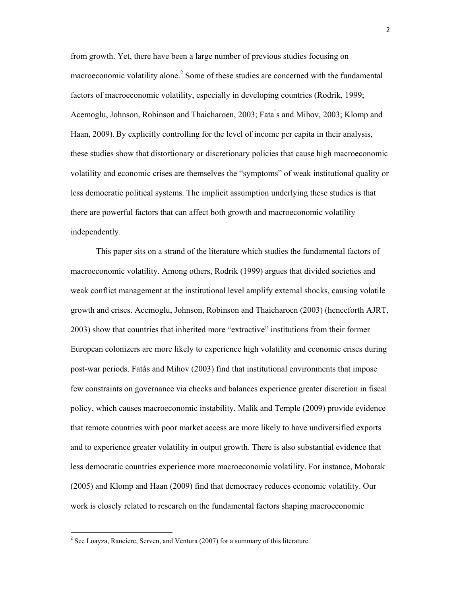from growth. Yet, there have been a large number of previous studies focusing on macroeconomic volatility alone.<sup>2</sup> Some of these studies are concerned with the fundamental factors of macroeconomic volatility, especially in developing countries (Rodrik, 1999; Acemoglu, Johnson, Robinson and Thaicharoen, 2003; Fata ́s and Mihov, 2003; Klomp and Haan, 2009).By explicitly controlling for the level of income per capita in their analysis, these studies show that distortionary or discretionary policies that cause high macroeconomic volatility and economic crises are themselves the "symptoms" of weak institutional quality or less democratic political systems. The implicit assumption underlying these studies is that there are powerful factors that can affect both growth and macroeconomic volatility independently.

This paper sits on a strand of the literature which studies the fundamental factors of macroeconomic volatility. Among others, Rodrik (1999) argues that divided societies and weak conflict management at the institutional level amplify external shocks, causing volatile growth and crises. Acemoglu, Johnson, Robinson and Thaicharoen (2003) (henceforth AJRT, 2003) show that countries that inherited more "extractive" institutions from their former European colonizers are more likely to experience high volatility and economic crises during post-war periods. Fatás and Mihov (2003) find that institutional environments that impose few constraints on governance via checks and balances experience greater discretion in fiscal policy, which causes macroeconomic instability. Malik and Temple (2009) provide evidence that remote countries with poor market access are more likely to have undiversified exports and to experience greater volatility in output growth. There is also substantial evidence that less democratic countries experience more macroeconomic volatility. For instance, Mobarak (2005) and Klomp and Haan (2009) find that democracy reduces economic volatility. Our work is closely related to research on the fundamental factors shaping macroeconomic

<sup>&</sup>lt;sup>2</sup> See Loayza, Ranciere, Serven, and Ventura (2007) for a summary of this literature.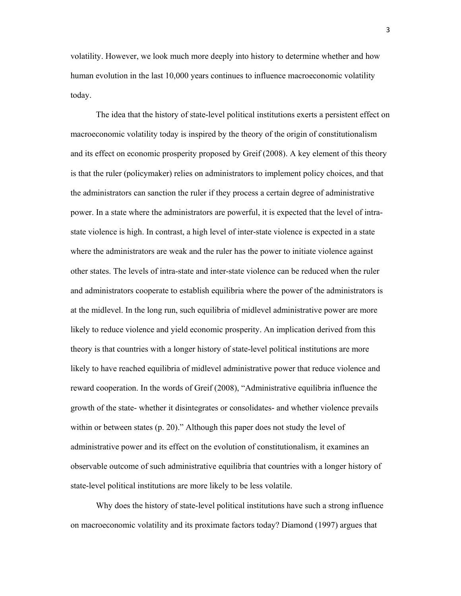volatility. However, we look much more deeply into history to determine whether and how human evolution in the last 10,000 years continues to influence macroeconomic volatility today.

 The idea that the history of state-level political institutions exerts a persistent effect on macroeconomic volatility today is inspired by the theory of the origin of constitutionalism and its effect on economic prosperity proposed by Greif (2008). A key element of this theory is that the ruler (policymaker) relies on administrators to implement policy choices, and that the administrators can sanction the ruler if they process a certain degree of administrative power. In a state where the administrators are powerful, it is expected that the level of intrastate violence is high. In contrast, a high level of inter-state violence is expected in a state where the administrators are weak and the ruler has the power to initiate violence against other states. The levels of intra-state and inter-state violence can be reduced when the ruler and administrators cooperate to establish equilibria where the power of the administrators is at the midlevel. In the long run, such equilibria of midlevel administrative power are more likely to reduce violence and yield economic prosperity. An implication derived from this theory is that countries with a longer history of state-level political institutions are more likely to have reached equilibria of midlevel administrative power that reduce violence and reward cooperation. In the words of Greif (2008), "Administrative equilibria influence the growth of the state- whether it disintegrates or consolidates- and whether violence prevails within or between states (p. 20)." Although this paper does not study the level of administrative power and its effect on the evolution of constitutionalism, it examines an observable outcome of such administrative equilibria that countries with a longer history of state-level political institutions are more likely to be less volatile.

Why does the history of state-level political institutions have such a strong influence on macroeconomic volatility and its proximate factors today? Diamond (1997) argues that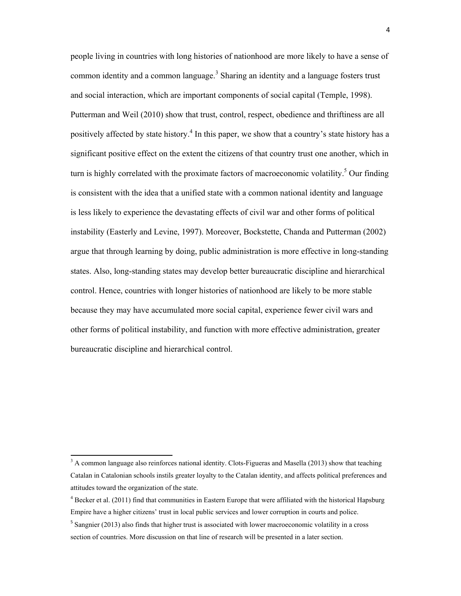people living in countries with long histories of nationhood are more likely to have a sense of common identity and a common language.<sup>3</sup> Sharing an identity and a language fosters trust and social interaction, which are important components of social capital (Temple, 1998). Putterman and Weil (2010) show that trust, control, respect, obedience and thriftiness are all positively affected by state history.<sup>4</sup> In this paper, we show that a country's state history has a significant positive effect on the extent the citizens of that country trust one another, which in turn is highly correlated with the proximate factors of macroeconomic volatility.<sup>5</sup> Our finding is consistent with the idea that a unified state with a common national identity and language is less likely to experience the devastating effects of civil war and other forms of political instability (Easterly and Levine, 1997). Moreover, Bockstette, Chanda and Putterman (2002) argue that through learning by doing, public administration is more effective in long-standing states. Also, long-standing states may develop better bureaucratic discipline and hierarchical control. Hence, countries with longer histories of nationhood are likely to be more stable because they may have accumulated more social capital, experience fewer civil wars and other forms of political instability, and function with more effective administration, greater bureaucratic discipline and hierarchical control.

 $3$  A common language also reinforces national identity. Clots-Figueras and Masella (2013) show that teaching Catalan in Catalonian schools instils greater loyalty to the Catalan identity, and affects political preferences and attitudes toward the organization of the state.

 $4$  Becker et al. (2011) find that communities in Eastern Europe that were affiliated with the historical Hapsburg Empire have a higher citizens' trust in local public services and lower corruption in courts and police.

<sup>&</sup>lt;sup>5</sup> Sangnier (2013) also finds that higher trust is associated with lower macroeconomic volatility in a cross section of countries. More discussion on that line of research will be presented in a later section.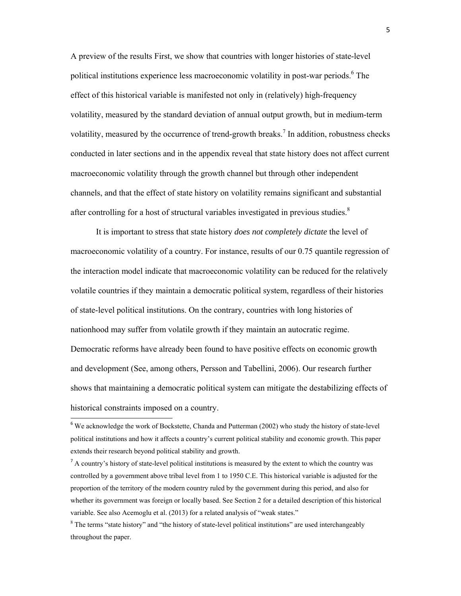A preview of the results First, we show that countries with longer histories of state-level political institutions experience less macroeconomic volatility in post-war periods.<sup>6</sup> The effect of this historical variable is manifested not only in (relatively) high-frequency volatility, measured by the standard deviation of annual output growth, but in medium-term volatility, measured by the occurrence of trend-growth breaks.<sup>7</sup> In addition, robustness checks conducted in later sections and in the appendix reveal that state history does not affect current macroeconomic volatility through the growth channel but through other independent channels, and that the effect of state history on volatility remains significant and substantial after controlling for a host of structural variables investigated in previous studies. $8$ 

 It is important to stress that state history *does not completely dictate* the level of macroeconomic volatility of a country. For instance, results of our 0.75 quantile regression of the interaction model indicate that macroeconomic volatility can be reduced for the relatively volatile countries if they maintain a democratic political system, regardless of their histories of state-level political institutions. On the contrary, countries with long histories of nationhood may suffer from volatile growth if they maintain an autocratic regime. Democratic reforms have already been found to have positive effects on economic growth and development (See, among others, Persson and Tabellini, 2006). Our research further shows that maintaining a democratic political system can mitigate the destabilizing effects of historical constraints imposed on a country.

<sup>&</sup>lt;sup>6</sup> We acknowledge the work of Bockstette, Chanda and Putterman (2002) who study the history of state-level political institutions and how it affects a country's current political stability and economic growth. This paper extends their research beyond political stability and growth.

<sup>&</sup>lt;sup>7</sup> A country's history of state-level political institutions is measured by the extent to which the country was controlled by a government above tribal level from 1 to 1950 C.E. This historical variable is adjusted for the proportion of the territory of the modern country ruled by the government during this period, and also for whether its government was foreign or locally based. See Section 2 for a detailed description of this historical variable. See also Acemoglu et al. (2013) for a related analysis of "weak states."

<sup>&</sup>lt;sup>8</sup> The terms "state history" and "the history of state-level political institutions" are used interchangeably throughout the paper.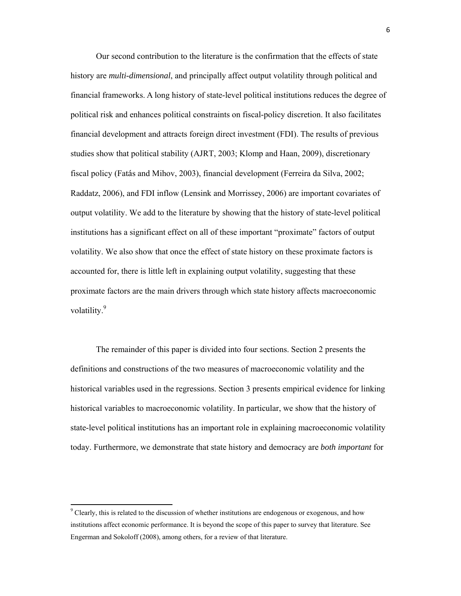Our second contribution to the literature is the confirmation that the effects of state history are *multi-dimensional*, and principally affect output volatility through political and financial frameworks. A long history of state-level political institutions reduces the degree of political risk and enhances political constraints on fiscal-policy discretion. It also facilitates financial development and attracts foreign direct investment (FDI). The results of previous studies show that political stability (AJRT, 2003; Klomp and Haan, 2009), discretionary fiscal policy (Fatás and Mihov, 2003), financial development (Ferreira da Silva, 2002; Raddatz, 2006), and FDI inflow (Lensink and Morrissey, 2006) are important covariates of output volatility. We add to the literature by showing that the history of state-level political institutions has a significant effect on all of these important "proximate" factors of output volatility. We also show that once the effect of state history on these proximate factors is accounted for, there is little left in explaining output volatility, suggesting that these proximate factors are the main drivers through which state history affects macroeconomic volatility.<sup>9</sup>

The remainder of this paper is divided into four sections. Section 2 presents the definitions and constructions of the two measures of macroeconomic volatility and the historical variables used in the regressions. Section 3 presents empirical evidence for linking historical variables to macroeconomic volatility. In particular, we show that the history of state-level political institutions has an important role in explaining macroeconomic volatility today. Furthermore, we demonstrate that state history and democracy are *both important* for

<sup>&</sup>lt;sup>9</sup> Clearly, this is related to the discussion of whether institutions are endogenous or exogenous, and how institutions affect economic performance. It is beyond the scope of this paper to survey that literature. See Engerman and Sokoloff (2008), among others, for a review of that literature.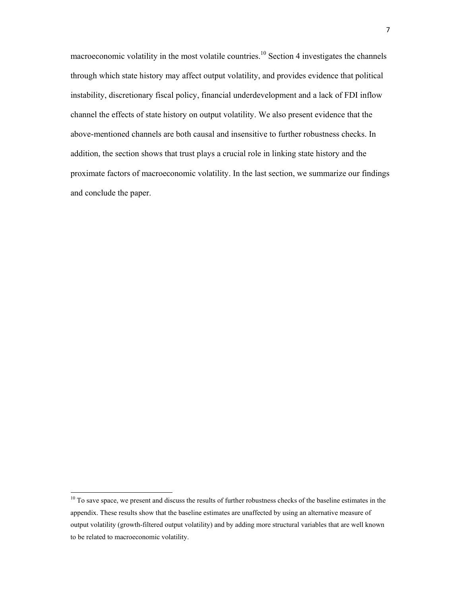macroeconomic volatility in the most volatile countries.<sup>10</sup> Section 4 investigates the channels through which state history may affect output volatility, and provides evidence that political instability, discretionary fiscal policy, financial underdevelopment and a lack of FDI inflow channel the effects of state history on output volatility. We also present evidence that the above-mentioned channels are both causal and insensitive to further robustness checks. In addition, the section shows that trust plays a crucial role in linking state history and the proximate factors of macroeconomic volatility. In the last section, we summarize our findings and conclude the paper.

 $10$  To save space, we present and discuss the results of further robustness checks of the baseline estimates in the appendix. These results show that the baseline estimates are unaffected by using an alternative measure of output volatility (growth-filtered output volatility) and by adding more structural variables that are well known to be related to macroeconomic volatility.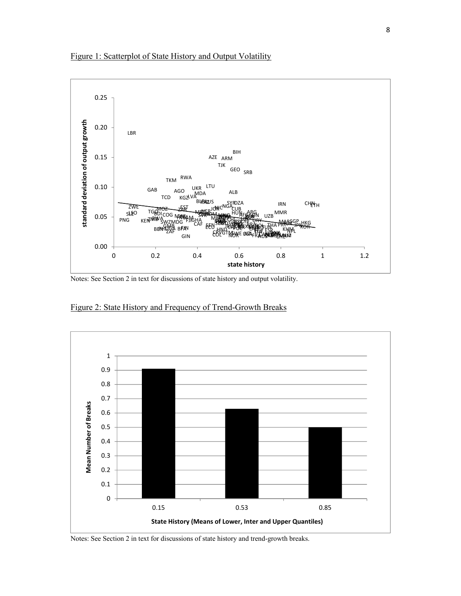



Notes: See Section 2 in text for discussions of state history and output volatility.



Figure 2: State History and Frequency of Trend-Growth Breaks

Notes: See Section 2 in text for discussions of state history and trend-growth breaks.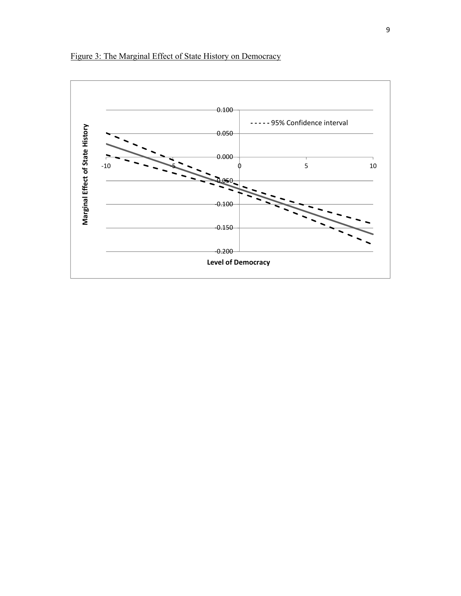

Figure 3: The Marginal Effect of State History on Democracy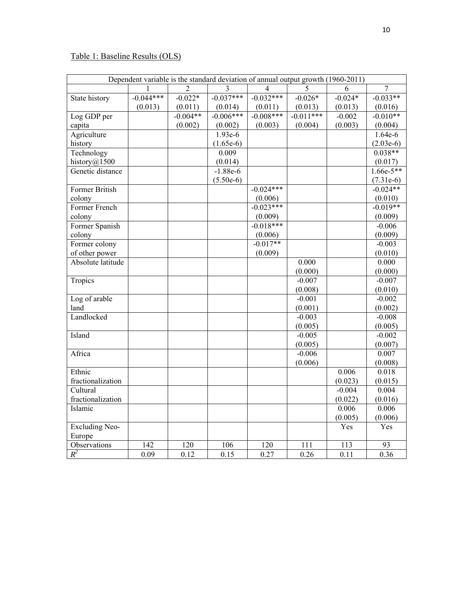# Table 1: Baseline Results (OLS)

| Dependent variable is the standard deviation of annual output growth (1960-2011) |             |            |             |                          |             |                   |                |
|----------------------------------------------------------------------------------|-------------|------------|-------------|--------------------------|-------------|-------------------|----------------|
|                                                                                  |             |            | 3           | $\overline{\mathcal{A}}$ | 5           | 6                 | $\overline{7}$ |
| State history                                                                    | $-0.044***$ | $-0.022*$  | $-0.037***$ | $-0.032***$              | $-0.026*$   | $-0.024*$         | $-0.033**$     |
|                                                                                  | (0.013)     | (0.011)    | (0.014)     | (0.011)                  | (0.013)     | (0.013)           | (0.016)        |
| Log GDP per                                                                      |             | $-0.004**$ | $-0.006***$ | $-0.008***$              | $-0.011***$ | $-0.002$          | $-0.010**$     |
| capita                                                                           |             | (0.002)    | (0.002)     | (0.003)                  | (0.004)     | (0.003)           | (0.004)        |
| Agriculture                                                                      |             |            | $1.93e-6$   |                          |             |                   | 1.64e-6        |
| history                                                                          |             |            | $(1.65e-6)$ |                          |             |                   | $(2.03e-6)$    |
| Technology                                                                       |             |            | 0.009       |                          |             |                   | $0.038**$      |
| history@1500                                                                     |             |            | (0.014)     |                          |             |                   | (0.017)        |
| Genetic distance                                                                 |             |            | $-1.88e-6$  |                          |             |                   | $1.66e-5**$    |
|                                                                                  |             |            | $(5.50e-6)$ |                          |             |                   | $(7.31e-6)$    |
| Former British                                                                   |             |            |             | $-0.024***$              |             |                   | $-0.024**$     |
| colony                                                                           |             |            |             | (0.006)                  |             |                   | (0.010)        |
| Former French                                                                    |             |            |             | $-0.023***$              |             |                   | $-0.019**$     |
| colony                                                                           |             |            |             | (0.009)                  |             |                   | (0.009)        |
| Former Spanish                                                                   |             |            |             | $-0.018***$              |             |                   | $-0.006$       |
| colony                                                                           |             |            |             | (0.006)                  |             |                   | (0.009)        |
| Former colony                                                                    |             |            |             | $-0.017**$               |             |                   | $-0.003$       |
| of other power                                                                   |             |            |             | (0.009)                  |             |                   | (0.010)        |
| Absolute latitude                                                                |             |            |             |                          | 0.000       |                   | 0.000          |
|                                                                                  |             |            |             |                          | (0.000)     |                   | (0.000)        |
| Tropics                                                                          |             |            |             |                          | $-0.007$    |                   | $-0.007$       |
|                                                                                  |             |            |             |                          | (0.008)     |                   | (0.010)        |
| Log of arable                                                                    |             |            |             |                          | $-0.001$    |                   | $-0.002$       |
| land                                                                             |             |            |             |                          | (0.001)     |                   | (0.002)        |
| Landlocked                                                                       |             |            |             |                          | $-0.003$    |                   | $-0.008$       |
|                                                                                  |             |            |             |                          | (0.005)     |                   | (0.005)        |
| Island                                                                           |             |            |             |                          | $-0.005$    |                   | $-0.002$       |
|                                                                                  |             |            |             |                          | (0.005)     |                   | (0.007)        |
| Africa                                                                           |             |            |             |                          | $-0.006$    |                   | 0.007          |
|                                                                                  |             |            |             |                          | (0.006)     |                   | (0.008)        |
| Ethnic                                                                           |             |            |             |                          |             | 0.006             | 0.018          |
| fractionalization                                                                |             |            |             |                          |             | (0.023)           | (0.015)        |
| Cultural                                                                         |             |            |             |                          |             | $-0.004$          | 0.004          |
| fractionalization                                                                |             |            |             |                          |             | (0.022)           | (0.016)        |
| Islamic                                                                          |             |            |             |                          |             | 0.006             | 0.006          |
|                                                                                  |             |            |             |                          |             | (0.005)           | (0.006)        |
| <b>Excluding Neo-</b>                                                            |             |            |             |                          |             | Yes               | Yes            |
| Europe                                                                           |             |            |             |                          |             |                   |                |
| Observations                                                                     | 142         | 120        | 106         | 120                      | 111         | 113               | 93             |
| $R^2$                                                                            | 0.09        | 0.12       | 0.15        | 0.27                     | 0.26        | $\overline{0.11}$ | 0.36           |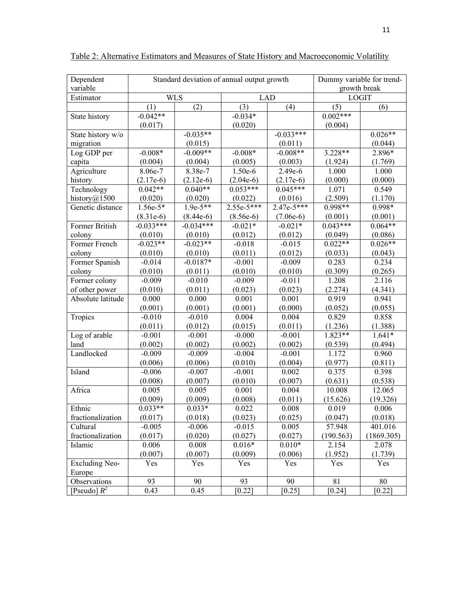| Dependent             | Standard deviation of annual output growth |             |              |              | Dummy variable for trend- |            |
|-----------------------|--------------------------------------------|-------------|--------------|--------------|---------------------------|------------|
| variable              |                                            |             |              | growth break |                           |            |
| Estimator             |                                            | <b>WLS</b>  | <b>LAD</b>   |              | <b>LOGIT</b>              |            |
|                       | (1)                                        | (2)         | (3)          | (4)          | (5)                       | (6)        |
| State history         | $-0.042**$                                 |             | $-0.034*$    |              | $0.002***$                |            |
|                       | (0.017)                                    |             | (0.020)      |              | (0.004)                   |            |
| State history w/o     |                                            | $-0.035**$  |              | $-0.033***$  |                           | $0.026**$  |
| migration             |                                            | (0.015)     |              | (0.011)      |                           | (0.044)    |
| Log GDP per           | $-0.008*$                                  | $-0.009**$  | $-0.008*$    | $-0.008**$   | 3.228**                   | 2.896*     |
| capita                | (0.004)                                    | (0.004)     | (0.005)      | (0.003)      | (1.924)                   | (1.769)    |
| Agriculture           | 8.06e-7                                    | 8.38e-7     | 1.50e-6      | 2.49e-6      | 1.000                     | 1.000      |
| history               | $(2.17e-6)$                                | $(2.12e-6)$ | $(2.04e-6)$  | $(2.17e-6)$  | (0.000)                   | (0.000)    |
| Technology            | $0.042**$                                  | $0.040**$   | $0.053***$   | $0.045***$   | 1.071                     | 0.549      |
| history $@1500$       | (0.020)                                    | (0.020)     | (0.022)      | (0.016)      | (2.509)                   | (1.170)    |
| Genetic distance      | $1.56e-5*$                                 | $1.9e-5**$  | $2.55e-5***$ | $2.47e-5***$ | 0.998**                   | 0.998*     |
|                       | $(8.31e-6)$                                | $(8.44e-6)$ | $(8.56e-6)$  | $(7.06e-6)$  | (0.001)                   | (0.001)    |
| Former British        | $-0.033***$                                | $-0.034***$ | $-0.021*$    | $-0.021*$    | $0.043***$                | $0.064**$  |
| colony                | (0.010)                                    | (0.010)     | (0.012)      | (0.012)      | (0.049)                   | (0.086)    |
| Former French         | $-0.023**$                                 | $-0.023**$  | $-0.018$     | $-0.015$     | $0.022**$                 | $0.026**$  |
| colony                | (0.010)                                    | (0.010)     | (0.011)      | (0.012)      | (0.033)                   | (0.043)    |
| Former Spanish        | $-0.014$                                   | $-0.0187*$  | $-0.001$     | $-0.009$     | 0.283                     | 0.234      |
| colony                | (0.010)                                    | (0.011)     | (0.010)      | (0.010)      | (0.309)                   | (0.265)    |
| Former colony         | $-0.009$                                   | $-0.010$    | $-0.009$     | $-0.011$     | 1.208                     | 2.116      |
| of other power        | (0.010)                                    | (0.011)     | (0.023)      | (0.023)      | (2.274)                   | (4.341)    |
| Absolute latitude     | 0.000                                      | 0.000       | 0.001        | 0.001        | 0.919                     | 0.941      |
|                       | (0.001)                                    | (0.001)     | (0.001)      | (0.000)      | (0.052)                   | (0.055)    |
| Tropics               | $-0.010$                                   | $-0.010$    | 0.004        | 0.004        | 0.829                     | 0.858      |
|                       | (0.011)                                    | (0.012)     | (0.015)      | (0.011)      | (1.236)                   | (1.388)    |
| Log of arable         | $-0.001$                                   | $-0.001$    | $-0.000$     | $-0.001$     | 1.823**                   | $1.641*$   |
| land                  | (0.002)                                    | (0.002)     | (0.002)      | (0.002)      | (0.539)                   | (0.494)    |
| Landlocked            | $-0.009$                                   | $-0.009$    | $-0.004$     | $-0.001$     | 1.172                     | 0.960      |
|                       | (0.006)                                    | (0.006)     | (0.010)      | (0.004)      | (0.977)                   | (0.811)    |
| Island                | $-0.006$                                   | $-0.007$    | $-0.001$     | 0.002        | 0.375                     | 0.398      |
|                       | (0.008)                                    | (0.007)     | (0.010)      | (0.007)      | (0.631)                   | (0.538)    |
| Africa                | 0.005                                      | 0.005       | 0.001        | 0.004        | 10.008                    | 12.065     |
|                       | (0.009)                                    | (0.009)     | (0.008)      | (0.011)      | (15.626)                  | (19.326)   |
| Ethnic                | $0.033**$                                  | $0.033*$    | 0.022        | 0.008        | 0.019                     | 0.006      |
| fractionalization     | (0.017)                                    | (0.018)     | (0.023)      | (0.025)      | (0.047)                   | (0.018)    |
| Cultural              | $-0.005$                                   | $-0.006$    | $-0.015$     | 0.005        | 57.948                    | 401.016    |
| fractionalization     | (0.017)                                    | (0.020)     | (0.027)      | (0.027)      | (190.563)                 | (1869.305) |
| Islamic               | 0.006                                      | 0.008       | $0.016*$     | $0.010*$     | 2.154                     | 2.078      |
|                       | (0.007)                                    | (0.007)     | (0.009)      | (0.006)      | (1.952)                   | (1.739)    |
| <b>Excluding Neo-</b> | Yes                                        | Yes         | Yes          | Yes          | Yes                       | Yes        |
| Europe                |                                            |             |              |              |                           |            |
| Observations          | 93                                         | 90          | 93           | 90           | 81                        | 80         |
| [Pseudo] $R^2$        | 0.43                                       | 0.45        | [0.22]       | $[0.25]$     | $[0.24]$                  | $[0.22]$   |

Table 2: Alternative Estimators and Measures of State History and Macroeconomic Volatility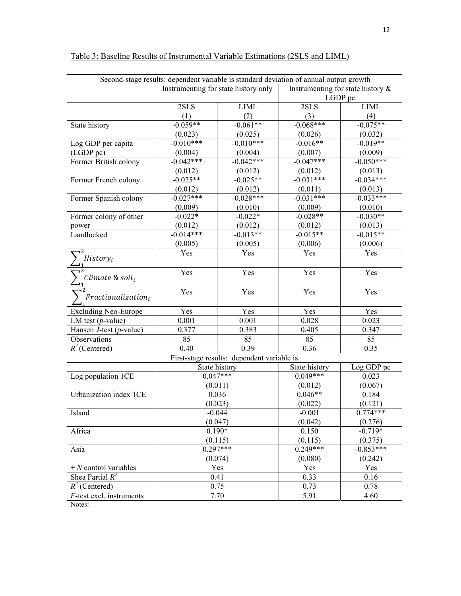|                               | Second-stage results: dependent variable is standard deviation of annual output growth |                                            |                                      |             |  |
|-------------------------------|----------------------------------------------------------------------------------------|--------------------------------------------|--------------------------------------|-------------|--|
|                               |                                                                                        | Instrumenting for state history only       | Instrumenting for state history $\&$ |             |  |
|                               |                                                                                        |                                            |                                      | LGDP pc     |  |
|                               | 2SLS                                                                                   | <b>LIML</b>                                | 2SLS                                 | <b>LIML</b> |  |
|                               | (1)                                                                                    | (2)                                        | (3)                                  | (4)         |  |
| State history                 | $-0.059**$                                                                             | $-0.061**$                                 | $-0.068***$                          | $-0.075**$  |  |
|                               | (0.023)                                                                                | (0.025)                                    | (0.026)                              | (0.032)     |  |
| Log GDP per capita            | $-0.010***$                                                                            | $-0.010***$                                | $-0.016**$                           | $-0.019**$  |  |
| (LGDP pc)                     | (0.004)                                                                                | (0.004)                                    | (0.007)                              | (0.009)     |  |
| Former British colony         | $-0.042***$                                                                            | $-0.042***$                                | $-0.047***$                          | $-0.050***$ |  |
|                               | (0.012)                                                                                | (0.012)                                    | (0.012)                              | (0.013)     |  |
| Former French colony          | $-0.025**$                                                                             | $-0.025**$                                 | $-0.031***$                          | $-0.034***$ |  |
|                               | (0.012)                                                                                | (0.012)                                    | (0.011)                              | (0.013)     |  |
| Former Spanish colony         | $-0.027***$                                                                            | $-0.028***$                                | $-0.031***$                          | $-0.033***$ |  |
|                               | (0.009)                                                                                | (0.010)                                    | (0.009)                              | (0.010)     |  |
| Former colony of other        | $-0.022*$                                                                              | $-0.022*$                                  | $-0.028**$                           | $-0.030**$  |  |
| power                         | (0.012)                                                                                | (0.012)                                    | (0.012)                              | (0.013)     |  |
| Landlocked                    | $-0.014***$                                                                            | $-0.013**$                                 | $-0.015**$                           | $-0.015**$  |  |
|                               | (0.005)                                                                                | (0.005)                                    | (0.006)                              | (0.006)     |  |
| History <sub>i</sub>          | Yes                                                                                    | Yes                                        | Yes                                  | Yes         |  |
| Climate & soil;               | Yes                                                                                    | Yes                                        | Yes                                  | Yes         |  |
| $Fractionalization_i$         | Yes                                                                                    | Yes                                        | Yes                                  | Yes         |  |
| <b>Excluding Neo-Europe</b>   | Yes                                                                                    | Yes                                        | Yes                                  | Yes         |  |
| LM test $(p$ -value)          | 0.001                                                                                  | 0.001                                      | 0.028                                | 0.023       |  |
| Hansen $J$ -test (p-value)    | 0.377                                                                                  | 0.383                                      | 0.405                                | 0.347       |  |
| Observations                  | 85                                                                                     | 85                                         | 85                                   | 85          |  |
| $R^2$ (Centered)              | 0.40                                                                                   | 0.39                                       | 0.36                                 | 0.35        |  |
|                               |                                                                                        | First-stage results: dependent variable is |                                      |             |  |
|                               | State history                                                                          |                                            | State history                        | Log GDP pc  |  |
| Log population 1CE            | $0.047***$                                                                             |                                            | $0.049***$                           | 0.023       |  |
|                               | (0.011)                                                                                |                                            | (0.012)                              | (0.067)     |  |
| Urbanization index 1CE        | 0.036                                                                                  |                                            | $0.046**$                            | 0.184       |  |
|                               | (0.023)                                                                                |                                            | (0.022)                              | (0.121)     |  |
| Island                        | $-0.044$                                                                               |                                            | $-0.001$                             | $0.774***$  |  |
|                               | (0.047)                                                                                |                                            | (0.042)                              | (0.276)     |  |
| Africa                        | $0.190*$                                                                               |                                            | 0.150                                | $-0.719*$   |  |
|                               | (0.115)                                                                                |                                            | (0.115)                              | (0.375)     |  |
| Asia                          | $0.297***$                                                                             |                                            | $0.249***$                           | $-0.853***$ |  |
|                               | (0.074)                                                                                |                                            | (0.080)                              | (0.242)     |  |
| $+ N$ control variables       |                                                                                        | Yes                                        | Yes                                  | Yes         |  |
| Shea Partial $\overline{R^2}$ | 0.41                                                                                   |                                            | 0.33                                 | 0.16        |  |
| $R^2$ (Centered)              | 0.75                                                                                   |                                            | 0.73                                 | 0.78        |  |
| F-test excl. instruments      |                                                                                        | 7.70                                       | 5.91                                 | 4.60        |  |

# Table 3: Baseline Results of Instrumental Variable Estimations (2SLS and LIML)

Notes: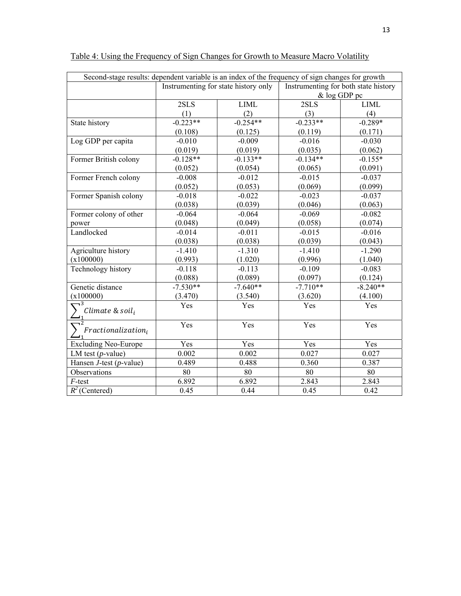| Second-stage results: dependent variable is an index of the frequency of sign changes for growth |            |                                      |                                      |              |  |  |  |
|--------------------------------------------------------------------------------------------------|------------|--------------------------------------|--------------------------------------|--------------|--|--|--|
|                                                                                                  |            | Instrumenting for state history only | Instrumenting for both state history |              |  |  |  |
|                                                                                                  |            |                                      |                                      | & log GDP pc |  |  |  |
|                                                                                                  | 2SLS       | <b>LIML</b>                          | 2SLS                                 | <b>LIML</b>  |  |  |  |
|                                                                                                  | (1)        | (2)                                  | (3)                                  | (4)          |  |  |  |
| State history                                                                                    | $-0.223**$ | $-0.254**$                           | $-0.233**$                           | $-0.289*$    |  |  |  |
|                                                                                                  | (0.108)    | (0.125)                              | (0.119)                              | (0.171)      |  |  |  |
| Log GDP per capita                                                                               | $-0.010$   | $-0.009$                             | $-0.016$                             | $-0.030$     |  |  |  |
|                                                                                                  | (0.019)    | (0.019)                              | (0.035)                              | (0.062)      |  |  |  |
| Former British colony                                                                            | $-0.128**$ | $-0.133**$                           | $-0.134**$                           | $-0.155*$    |  |  |  |
|                                                                                                  | (0.052)    | (0.054)                              | (0.065)                              | (0.091)      |  |  |  |
| Former French colony                                                                             | $-0.008$   | $-0.012$                             | $-0.015$                             | $-0.037$     |  |  |  |
|                                                                                                  | (0.052)    | (0.053)                              | (0.069)                              | (0.099)      |  |  |  |
| Former Spanish colony                                                                            | $-0.018$   | $-0.022$                             | $-0.023$                             | $-0.037$     |  |  |  |
|                                                                                                  | (0.038)    | (0.039)                              | (0.046)                              | (0.063)      |  |  |  |
| Former colony of other                                                                           | $-0.064$   | $-0.064$                             | $-0.069$                             | $-0.082$     |  |  |  |
| power                                                                                            | (0.048)    | (0.049)                              | (0.058)                              | (0.074)      |  |  |  |
| Landlocked                                                                                       | $-0.014$   | $-0.011$                             | $-0.015$                             | $-0.016$     |  |  |  |
|                                                                                                  | (0.038)    | (0.038)                              | (0.039)                              | (0.043)      |  |  |  |
| Agriculture history                                                                              | $-1.410$   | $-1.310$                             | $-1.410$                             | $-1.290$     |  |  |  |
| (x100000)                                                                                        | (0.993)    | (1.020)                              | (0.996)                              | (1.040)      |  |  |  |
| Technology history                                                                               | $-0.118$   | $-0.113$                             | $-0.109$                             | $-0.083$     |  |  |  |
|                                                                                                  | (0.088)    | (0.089)                              | (0.097)                              | (0.124)      |  |  |  |
| Genetic distance                                                                                 | $-7.530**$ | $-7.640**$                           | $-7.710**$                           | $-8.240**$   |  |  |  |
| (x100000)                                                                                        | (3.470)    | (3.540)                              | (3.620)                              | (4.100)      |  |  |  |
| Climate & soil <sub>i</sub>                                                                      | Yes        | Yes                                  | Yes                                  | Yes          |  |  |  |
|                                                                                                  |            |                                      |                                      |              |  |  |  |
| $\neg$ 2<br>$Fractionalization_i$                                                                | Yes        | Yes                                  | Yes                                  | Yes          |  |  |  |
| <b>Excluding Neo-Europe</b>                                                                      | Yes        | Yes                                  | Yes                                  | Yes          |  |  |  |
| LM test $(p$ -value)                                                                             | 0.002      | 0.002                                | 0.027                                | 0.027        |  |  |  |
| Hansen $J$ -test (p-value)                                                                       | 0.489      | 0.488                                | 0.360                                | 0.387        |  |  |  |
| Observations                                                                                     | 80         | 80                                   | 80                                   | 80           |  |  |  |
| $F$ -test                                                                                        | 6.892      | 6.892                                | 2.843                                | 2.843        |  |  |  |
| $R^2$ (Centered)                                                                                 | 0.45       | 0.44                                 | 0.45                                 | 0.42         |  |  |  |

# Table 4: Using the Frequency of Sign Changes for Growth to Measure Macro Volatility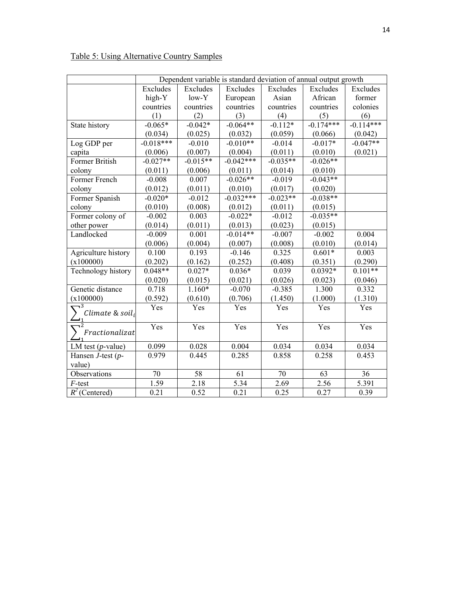|                                             | Dependent variable is standard deviation of annual output growth |            |             |            |             |             |
|---------------------------------------------|------------------------------------------------------------------|------------|-------------|------------|-------------|-------------|
|                                             | Excludes                                                         | Excludes   | Excludes    | Excludes   | Excludes    | Excludes    |
|                                             | high-Y                                                           | low-Y      | European    | Asian      | African     | former      |
|                                             | countries                                                        | countries  | countries   | countries  | countries   | colonies    |
|                                             | (1)                                                              | (2)        | (3)         | (4)        | (5)         | (6)         |
| State history                               | $-0.065*$                                                        | $-0.042*$  | $-0.064**$  | $-0.112*$  | $-0.174***$ | $-0.114***$ |
|                                             | (0.034)                                                          | (0.025)    | (0.032)     | (0.059)    | (0.066)     | (0.042)     |
| Log GDP per                                 | $-0.018***$                                                      | $-0.010$   | $-0.010**$  | $-0.014$   | $-0.017*$   | $-0.047**$  |
| capita                                      | (0.006)                                                          | (0.007)    | (0.004)     | (0.011)    | (0.010)     | (0.021)     |
| Former British                              | $-0.027**$                                                       | $-0.015**$ | $-0.042***$ | $-0.035**$ | $-0.026**$  |             |
| colony                                      | (0.011)                                                          | (0.006)    | (0.011)     | (0.014)    | (0.010)     |             |
| Former French                               | $-0.008$                                                         | 0.007      | $-0.026**$  | $-0.019$   | $-0.043**$  |             |
| colony                                      | (0.012)                                                          | (0.011)    | (0.010)     | (0.017)    | (0.020)     |             |
| Former Spanish                              | $-0.020*$                                                        | $-0.012$   | $-0.032***$ | $-0.023**$ | $-0.038**$  |             |
| colony                                      | (0.010)                                                          | (0.008)    | (0.012)     | (0.011)    | (0.015)     |             |
| Former colony of                            | $-0.002$                                                         | 0.003      | $-0.022*$   | $-0.012$   | $-0.035**$  |             |
| other power                                 | (0.014)                                                          | (0.011)    | (0.013)     | (0.023)    | (0.015)     |             |
| Landlocked                                  | $-0.009$                                                         | 0.001      | $-0.014**$  | $-0.007$   | $-0.002$    | 0.004       |
|                                             | (0.006)                                                          | (0.004)    | (0.007)     | (0.008)    | (0.010)     | (0.014)     |
| Agriculture history                         | 0.100                                                            | 0.193      | $-0.146$    | 0.325      | $0.601*$    | 0.003       |
| (x100000)                                   | (0.202)                                                          | (0.162)    | (0.252)     | (0.408)    | (0.351)     | (0.290)     |
| Technology history                          | $0.048**$                                                        | $0.027*$   | $0.036*$    | 0.039      | $0.0392*$   | $0.101**$   |
|                                             | (0.020)                                                          | (0.015)    | (0.021)     | (0.026)    | (0.023)     | (0.046)     |
| Genetic distance                            | 0.718                                                            | $1.160*$   | $-0.070$    | $-0.385$   | 1.300       | 0.332       |
| (x100000)                                   | (0.592)                                                          | (0.610)    | (0.706)     | (1.450)    | (1.000)     | (1.310)     |
| $\sqrt{3}$<br>Climate & soil;               | Yes                                                              | Yes        | Yes         | Yes        | Yes         | Yes         |
| $\overline{\mathbf{u}^2}$<br>Fractionalizat | Yes                                                              | Yes        | Yes         | Yes        | Yes         | Yes         |
| LM test $(p$ -value)                        | 0.099                                                            | 0.028      | 0.004       | 0.034      | 0.034       | 0.034       |
| Hansen $J$ -test ( $p$ -                    | 0.979                                                            | 0.445      | 0.285       | 0.858      | 0.258       | 0.453       |
| value)                                      |                                                                  |            |             |            |             |             |
| Observations                                | 70                                                               | 58         | 61          | 70         | 63          | 36          |
| F-test                                      | 1.59                                                             | 2.18       | 5.34        | 2.69       | 2.56        | 5.391       |
| $\overline{R}^2$ (Centered)                 | 0.21                                                             | 0.52       | 0.21        | 0.25       | 0.27        | 0.39        |

Table 5: Using Alternative Country Samples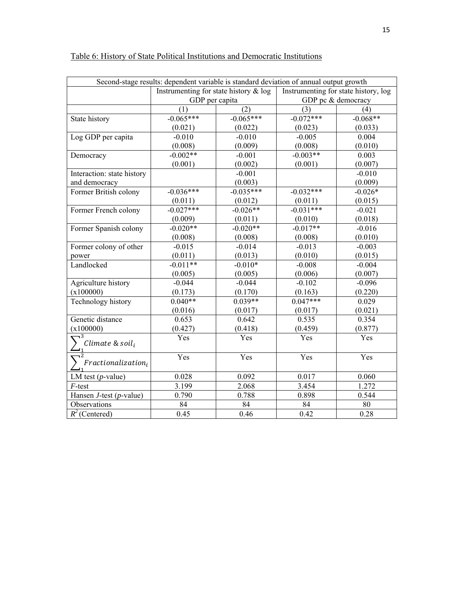| Second-stage results: dependent variable is standard deviation of annual output growth |                                          |             |                                      |                    |  |  |  |
|----------------------------------------------------------------------------------------|------------------------------------------|-------------|--------------------------------------|--------------------|--|--|--|
|                                                                                        | Instrumenting for state history $\&$ log |             | Instrumenting for state history, log |                    |  |  |  |
|                                                                                        | GDP per capita                           |             |                                      | GDP pc & democracy |  |  |  |
|                                                                                        | (2)<br>(1)                               |             | (3)                                  | (4)                |  |  |  |
| State history                                                                          | $-0.065***$                              | $-0.065***$ | $-0.072***$                          | $-0.068**$         |  |  |  |
|                                                                                        | (0.021)                                  | (0.022)     | (0.023)                              | (0.033)            |  |  |  |
| Log GDP per capita                                                                     | $-0.010$                                 | $-0.010$    | $-0.005$                             | 0.004              |  |  |  |
|                                                                                        | (0.008)                                  | (0.009)     | (0.008)                              | (0.010)            |  |  |  |
| Democracy                                                                              | $-0.002**$                               | $-0.001$    | $-0.003**$                           | 0.003              |  |  |  |
|                                                                                        | (0.001)                                  | (0.002)     | (0.001)                              | (0.007)            |  |  |  |
| Interaction: state history                                                             |                                          | $-0.001$    |                                      | $-0.010$           |  |  |  |
| and democracy                                                                          |                                          | (0.003)     |                                      | (0.009)            |  |  |  |
| Former British colony                                                                  | $-0.036***$                              | $-0.035***$ | $-0.032***$                          | $-0.026*$          |  |  |  |
|                                                                                        | (0.011)                                  | (0.012)     | (0.011)                              | (0.015)            |  |  |  |
| Former French colony                                                                   | $-0.027***$                              | $-0.026**$  | $-0.031***$                          | $-0.021$           |  |  |  |
|                                                                                        | (0.009)                                  | (0.011)     | (0.010)                              | (0.018)            |  |  |  |
| Former Spanish colony                                                                  | $-0.020**$                               | $-0.020**$  | $-0.017**$                           | $-0.016$           |  |  |  |
|                                                                                        | (0.008)                                  | (0.008)     | (0.008)                              | (0.010)            |  |  |  |
| Former colony of other                                                                 | $-0.015$                                 | $-0.014$    | $-0.013$                             | $-0.003$           |  |  |  |
| power                                                                                  | (0.011)                                  | (0.013)     | (0.010)                              | (0.015)            |  |  |  |
| Landlocked                                                                             | $-0.011**$                               | $-0.010*$   | $-0.008$                             | $-0.004$           |  |  |  |
|                                                                                        | (0.005)                                  | (0.005)     | (0.006)                              | (0.007)            |  |  |  |
| Agriculture history                                                                    | $-0.044$                                 | $-0.044$    | $-0.102$                             | $-0.096$           |  |  |  |
| (x100000)                                                                              | (0.173)                                  | (0.170)     | (0.163)                              | (0.220)            |  |  |  |
| <b>Technology history</b>                                                              | $0.040**$                                | $0.039**$   | $0.047***$                           | 0.029              |  |  |  |
|                                                                                        | (0.016)                                  | (0.017)     | (0.017)                              | (0.021)            |  |  |  |
| Genetic distance                                                                       | 0.653                                    | 0.642       | 0.535                                | 0.354              |  |  |  |
| (x100000)                                                                              | (0.427)                                  | (0.418)     | (0.459)                              | (0.877)            |  |  |  |
|                                                                                        | Yes                                      | Yes         | Yes                                  | Yes                |  |  |  |
| Climate & soil,                                                                        |                                          |             |                                      |                    |  |  |  |
|                                                                                        | Yes                                      | Yes         | Yes                                  | Yes                |  |  |  |
| $Fractionalization_i$                                                                  |                                          |             |                                      |                    |  |  |  |
| LM test $(p$ -value)                                                                   | 0.028                                    | 0.092       | 0.017                                | 0.060              |  |  |  |
| $F$ -test                                                                              | 3.199                                    | 2.068       | 3.454                                | 1.272              |  |  |  |
| Hansen $J$ -test (p-value)                                                             | 0.790                                    | 0.788       | 0.898                                | 0.544              |  |  |  |
| Observations                                                                           | 84                                       | 84          | 84                                   | 80                 |  |  |  |
| $R^2$ (Centered)                                                                       | 0.45                                     | 0.46        | 0.42                                 | 0.28               |  |  |  |

# Table 6: History of State Political Institutions and Democratic Institutions